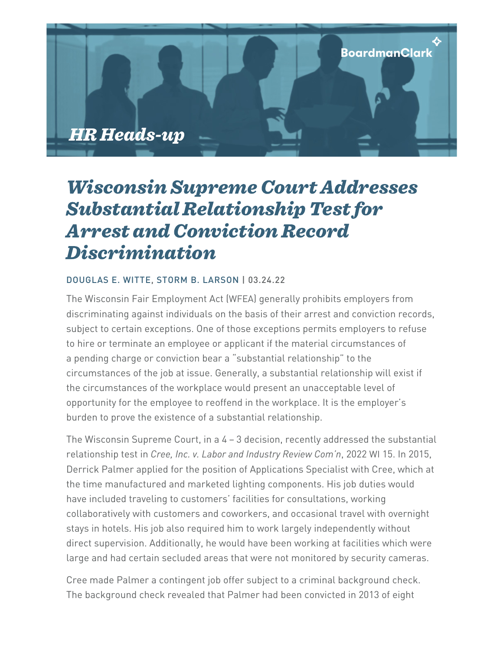

## Wisconsin Supreme Court Addresses Substantial Relationship Test for Arrest and Conviction Record Discrimination

## [DOUGLAS](https://www.boardmanclark.com/our-people/doug-witte) E. WITTE, STORM B. [LARSON](https://www.boardmanclark.com/our-people/storm-b-larson) | 03.24.22

The Wisconsin Fair Employment Act (WFEA) generally prohibits employers from discriminating against individuals on the basis of their arrest and conviction records, subject to certain exceptions. One of those exceptions permits employers to refuse to hire or terminate an employee or applicant if the material circumstances of a pending charge or conviction bear a "substantial relationship" to the circumstances of the job at issue. Generally, a substantial relationship will exist if the circumstances of the workplace would present an unacceptable level of opportunity for the employee to reoffend in the workplace. It is the employer's burden to prove the existence of a substantial relationship.

The Wisconsin Supreme Court, in a 4 – 3 decision, recently addressed the substantial relationship test in *Cree, Inc. v. Labor and Industry Review Com'n*, 2022 WI 15. In 2015, Derrick Palmer applied for the position of Applications Specialist with Cree, which at the time manufactured and marketed lighting components. His job duties would have included traveling to customers' facilities for consultations, working collaboratively with customers and coworkers, and occasional travel with overnight stays in hotels. His job also required him to work largely independently without direct supervision. Additionally, he would have been working at facilities which were large and had certain secluded areas that were not monitored by security cameras.

Cree made Palmer a contingent job offer subject to a criminal background check. The background check revealed that Palmer had been convicted in 2013 of eight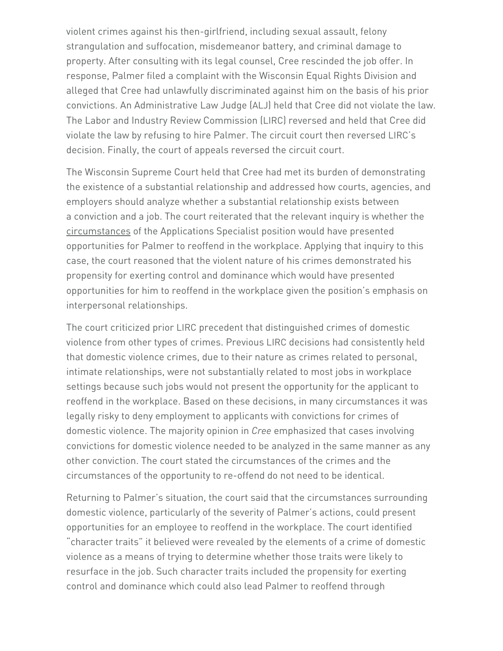violent crimes against his then-girlfriend, including sexual assault, felony strangulation and suffocation, misdemeanor battery, and criminal damage to property. After consulting with its legal counsel, Cree rescinded the job offer. In response, Palmer filed a complaint with the Wisconsin Equal Rights Division and alleged that Cree had unlawfully discriminated against him on the basis of his prior convictions. An Administrative Law Judge (ALJ) held that Cree did not violate the law. The Labor and Industry Review Commission (LIRC) reversed and held that Cree did violate the law by refusing to hire Palmer. The circuit court then reversed LIRC's decision. Finally, the court of appeals reversed the circuit court.

The Wisconsin Supreme Court held that Cree had met its burden of demonstrating the existence of a substantial relationship and addressed how courts, agencies, and employers should analyze whether a substantial relationship exists between a conviction and a job. The court reiterated that the relevant inquiry is whether the circumstances of the Applications Specialist position would have presented opportunities for Palmer to reoffend in the workplace. Applying that inquiry to this case, the court reasoned that the violent nature of his crimes demonstrated his propensity for exerting control and dominance which would have presented opportunities for him to reoffend in the workplace given the position's emphasis on interpersonal relationships.

The court criticized prior LIRC precedent that distinguished crimes of domestic violence from other types of crimes. Previous LIRC decisions had consistently held that domestic violence crimes, due to their nature as crimes related to personal, intimate relationships, were not substantially related to most jobs in workplace settings because such jobs would not present the opportunity for the applicant to reoffend in the workplace. Based on these decisions, in many circumstances it was legally risky to deny employment to applicants with convictions for crimes of domestic violence. The majority opinion in *Cree* emphasized that cases involving convictions for domestic violence needed to be analyzed in the same manner as any other conviction. The court stated the circumstances of the crimes and the circumstances of the opportunity to re-offend do not need to be identical.

Returning to Palmer's situation, the court said that the circumstances surrounding domestic violence, particularly of the severity of Palmer's actions, could present opportunities for an employee to reoffend in the workplace. The court identified "character traits" it believed were revealed by the elements of a crime of domestic violence as a means of trying to determine whether those traits were likely to resurface in the job. Such character traits included the propensity for exerting control and dominance which could also lead Palmer to reoffend through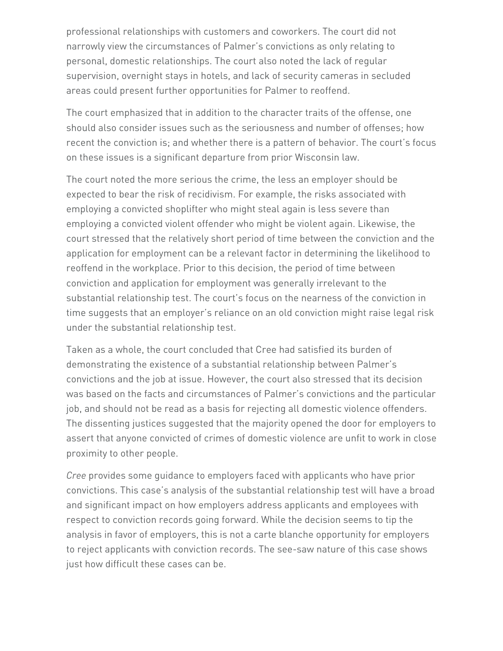professional relationships with customers and coworkers. The court did not narrowly view the circumstances of Palmer's convictions as only relating to personal, domestic relationships. The court also noted the lack of regular supervision, overnight stays in hotels, and lack of security cameras in secluded areas could present further opportunities for Palmer to reoffend.

The court emphasized that in addition to the character traits of the offense, one should also consider issues such as the seriousness and number of offenses; how recent the conviction is; and whether there is a pattern of behavior. The court's focus on these issues is a significant departure from prior Wisconsin law.

The court noted the more serious the crime, the less an employer should be expected to bear the risk of recidivism. For example, the risks associated with employing a convicted shoplifter who might steal again is less severe than employing a convicted violent offender who might be violent again. Likewise, the court stressed that the relatively short period of time between the conviction and the application for employment can be a relevant factor in determining the likelihood to reoffend in the workplace. Prior to this decision, the period of time between conviction and application for employment was generally irrelevant to the substantial relationship test. The court's focus on the nearness of the conviction in time suggests that an employer's reliance on an old conviction might raise legal risk under the substantial relationship test.

Taken as a whole, the court concluded that Cree had satisfied its burden of demonstrating the existence of a substantial relationship between Palmer's convictions and the job at issue. However, the court also stressed that its decision was based on the facts and circumstances of Palmer's convictions and the particular job, and should not be read as a basis for rejecting all domestic violence offenders. The dissenting justices suggested that the majority opened the door for employers to assert that anyone convicted of crimes of domestic violence are unfit to work in close proximity to other people.

*Cree* provides some guidance to employers faced with applicants who have prior convictions. This case's analysis of the substantial relationship test will have a broad and significant impact on how employers address applicants and employees with respect to conviction records going forward. While the decision seems to tip the analysis in favor of employers, this is not a carte blanche opportunity for employers to reject applicants with conviction records. The see-saw nature of this case shows just how difficult these cases can be.